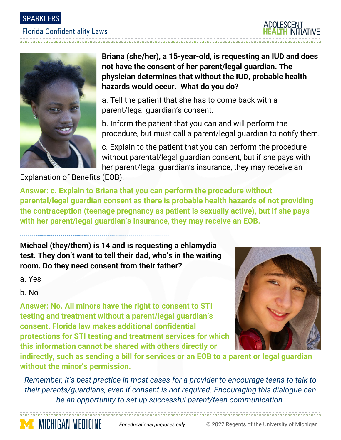### Florida Confidentiality Laws





**Briana (she/her), a 15-year-old, is requesting an IUD and does not have the consent of her parent/legal guardian. The physician determines that without the IUD, probable health hazards would occur. What do you do?**

a. Tell the patient that she has to come back with a parent/legal guardian's consent.

b. Inform the patient that you can and will perform the procedure, but must call a parent/legal guardian to notify them.

c. Explain to the patient that you can perform the procedure without parental/legal guardian consent, but if she pays with her parent/legal guardian's insurance, they may receive an

Explanation of Benefits (EOB).

**MENICHIGAN MEDICINE** 

**Answer: c. Explain to Briana that you can perform the procedure without parental/legal guardian consent as there is probable health hazards of not providing the contraception (teenage pregnancy as patient is sexually active), but if she pays with her parent/legal guardian's insurance, they may receive an EOB.**

**Michael (they/them) is 14 and is requesting a chlamydia test. They don't want to tell their dad, who's in the waiting room. Do they need consent from their father?**

a. Yes

b. No

**Answer: No. All minors have the right to consent to STI testing and treatment without a parent/legal guardian's consent. Florida law makes additional confidential protections for STI testing and treatment services for which this information cannot be shared with others directly or** 



**indirectly, such as sending a bill for services or an EOB to a parent or legal guardian without the minor's permission.** 

*Remember, it's best practice in most cases for a provider to encourage teens to talk to their parents/guardians, even if consent is not required. Encouraging this dialogue can be an opportunity to set up successful parent/teen communication.*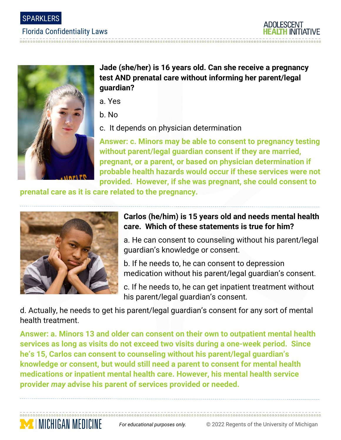

#### Florida Confidentiality Laws





## **Jade (she/her) is 16 years old. Can she receive a pregnancy test AND prenatal care without informing her parent/legal guardian?**

- a. Yes
- b. No
- c. It depends on physician determination

**Answer: c. Minors may be able to consent to pregnancy testing without parent/legal guardian consent if they are married, pregnant, or a parent, or based on physician determination if probable health hazards would occur if these services were not provided. However, if she was pregnant, she could consent to** 

**prenatal care as it is care related to the pregnancy.** 



**MEDICHIGAN MEDICINE** 

# **Carlos (he/him) is 15 years old and needs mental health care. Which of these statements is true for him?**

a. He can consent to counseling without his parent/legal guardian's knowledge or consent.

- b. If he needs to, he can consent to depression medication without his parent/legal guardian's consent.
- c. If he needs to, he can get inpatient treatment without his parent/legal guardian's consent.

d. Actually, he needs to get his parent/legal guardian's consent for any sort of mental health treatment.

**Answer: a. Minors 13 and older can consent on their own to outpatient mental health services as long as visits do not exceed two visits during a one-week period. Since he's 15, Carlos can consent to counseling without his parent/legal guardian's knowledge or consent, but would still need a parent to consent for mental health medications or inpatient mental health care. However, his mental health service provider** *may* **advise his parent of services provided or needed.**